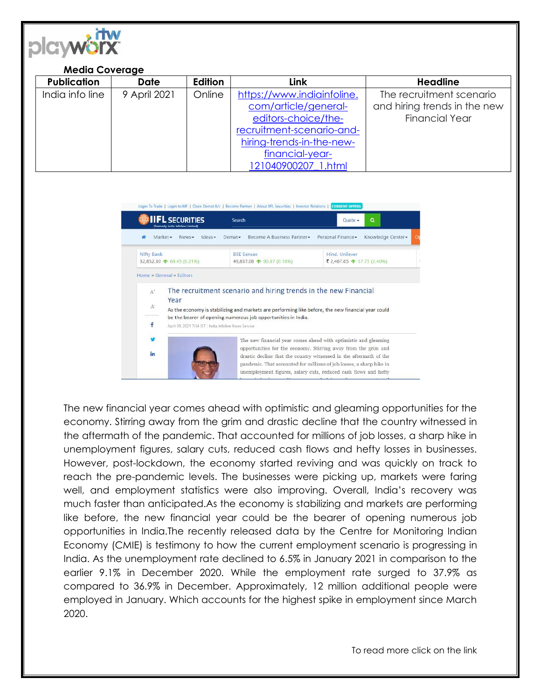

## **Media Coverage**

| <b>Publication</b> | <b>Date</b>  | <b>Edition</b> | <b>Link</b>                | <b>Headline</b>              |
|--------------------|--------------|----------------|----------------------------|------------------------------|
| India info line    | 9 April 2021 | Online         | https://www.indiainfoline. | The recruitment scenario     |
|                    |              |                | com/article/general-       | and hiring trends in the new |
|                    |              |                | editors-choice/the-        | <b>Financial Year</b>        |
|                    |              |                | recruitment-scenario-and-  |                              |
|                    |              |                | hiring-trends-in-the-new-  |                              |
|                    |              |                | financial-year-            |                              |
|                    |              |                | 121040900207 1.html        |                              |



The new financial year comes ahead with optimistic and gleaming opportunities for the economy. Stirring away from the grim and drastic decline that the country witnessed in the aftermath of the pandemic. That accounted for millions of job losses, a sharp hike in unemployment figures, salary cuts, reduced cash flows and hefty losses in businesses. However, post-lockdown, the economy started reviving and was quickly on track to reach the pre-pandemic levels. The businesses were picking up, markets were faring well, and employment statistics were also improving. Overall, India's recovery was much faster than anticipated.As the economy is stabilizing and markets are performing like before, the new financial year could be the bearer of opening numerous job opportunities in India.The recently released data by the Centre for Monitoring Indian Economy (CMIE) is testimony to how the current employment scenario is progressing in India. As the unemployment rate declined to 6.5% in January 2021 in comparison to the earlier 9.1% in December 2020. While the employment rate surged to 37.9% as compared to 36.9% in December. Approximately, 12 million additional people were employed in January. Which accounts for the highest spike in employment since March 2020.

To read more click on the link